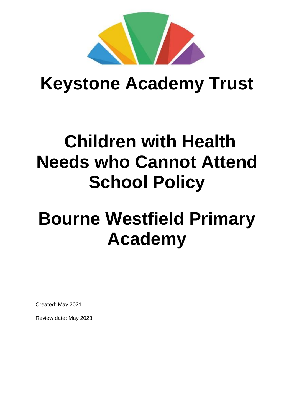

## **Keystone Academy Trust**

## **Children with Health Needs who Cannot Attend School Policy**

# **Bourne Westfield Primary Academy**

Created: May 2021

Review date: May 2023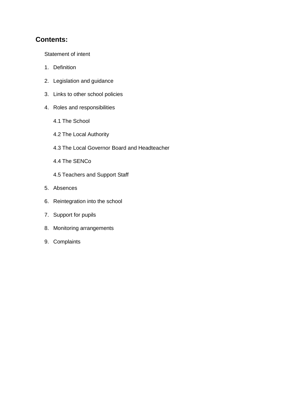## **Contents:**

Statement of intent

- 1. Definition
- 2. Legislation and guidance
- 3. Links to other school policies
- 4. Roles and responsibilities
	- 4.1 The School
	- 4.2 The Local Authority
	- 4.3 The Local Governor Board and Headteacher
	- 4.4 The SENCo
	- 4.5 Teachers and Support Staff
- 5. Absences
- 6. Reintegration into the school
- 7. Support for pupils
- 8. Monitoring arrangements
- 9. Complaints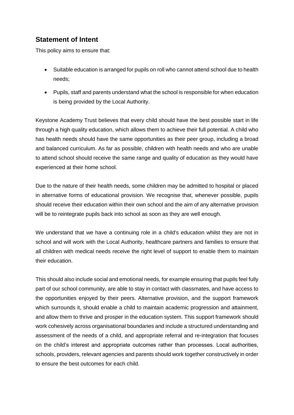## **Statement of Intent**

This policy aims to ensure that:

- Suitable education is arranged for pupils on roll who cannot attend school due to health needs;
- Pupils, staff and parents understand what the school is responsible for when education is being provided by the Local Authority.

Keystone Academy Trust believes that every child should have the best possible start in life through a high quality education, which allows them to achieve their full potential. A child who has health needs should have the same opportunities as their peer group, including a broad and balanced curriculum. As far as possible, children with health needs and who are unable to attend school should receive the same range and quality of education as they would have experienced at their home school.

Due to the nature of their health needs, some children may be admitted to hospital or placed in alternative forms of educational provision. We recognise that, whenever possible, pupils should receive their education within their own school and the aim of any alternative provision will be to reintegrate pupils back into school as soon as they are well enough.

We understand that we have a continuing role in a child's education whilst they are not in school and will work with the Local Authority, healthcare partners and families to ensure that all children with medical needs receive the right level of support to enable them to maintain their education.

This should also include social and emotional needs, for example ensuring that pupils feel fully part of our school community, are able to stay in contact with classmates, and have access to the opportunities enjoyed by their peers. Alternative provision, and the support framework which surrounds it, should enable a child to maintain academic progression and attainment, and allow them to thrive and prosper in the education system. This support framework should work cohesively across organisational boundaries and include a structured understanding and assessment of the needs of a child, and appropriate referral and re-integration that focuses on the child's interest and appropriate outcomes rather than processes. Local authorities, schools, providers, relevant agencies and parents should work together constructively in order to ensure the best outcomes for each child.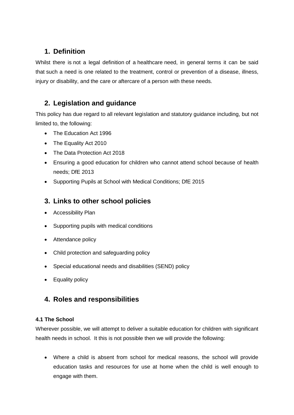## **1. Definition**

Whilst there is not a legal definition of a healthcare need, in general terms it can be said that such a need is one related to the treatment, control or prevention of a disease, illness, injury or disability, and the care or aftercare of a person with these needs.

## **2. Legislation and guidance**

This policy has due regard to all relevant legislation and statutory guidance including, but not limited to, the following:

- The Education Act 1996
- The Equality Act 2010
- The Data Protection Act 2018
- Ensuring a good education for children who cannot attend school because of health needs; DfE 2013
- Supporting Pupils at School with Medical Conditions; DfE 2015

## **3. Links to other school policies**

- Accessibility Plan
- Supporting pupils with medical conditions
- Attendance policy
- Child protection and safeguarding policy
- Special educational needs and disabilities (SEND) policy
- Equality policy

## **4. Roles and responsibilities**

#### **4.1 The School**

Wherever possible, we will attempt to deliver a suitable education for children with significant health needs in school. It this is not possible then we will provide the following:

 Where a child is absent from school for medical reasons, the school will provide education tasks and resources for use at home when the child is well enough to engage with them.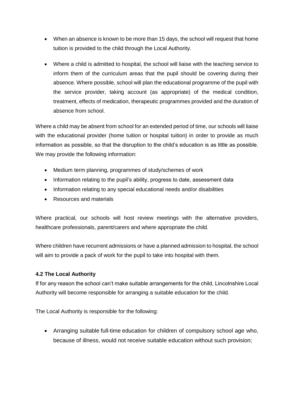- When an absence is known to be more than 15 days, the school will request that home tuition is provided to the child through the Local Authority.
- Where a child is admitted to hospital, the school will liaise with the teaching service to inform them of the curriculum areas that the pupil should be covering during their absence. Where possible, school will plan the educational programme of the pupil with the service provider, taking account (as appropriate) of the medical condition, treatment, effects of medication, therapeutic programmes provided and the duration of absence from school.

Where a child may be absent from school for an extended period of time, our schools will liaise with the educational provider (home tuition or hospital tuition) in order to provide as much information as possible, so that the disruption to the child's education is as little as possible. We may provide the following information:

- Medium term planning, programmes of study/schemes of work
- Information relating to the pupil's ability, progress to date, assessment data
- Information relating to any special educational needs and/or disabilities
- Resources and materials

Where practical, our schools will host review meetings with the alternative providers, healthcare professionals, parent/carers and where appropriate the child.

Where children have recurrent admissions or have a planned admission to hospital, the school will aim to provide a pack of work for the pupil to take into hospital with them.

#### **4.2 The Local Authority**

If for any reason the school can't make suitable arrangements for the child, Lincolnshire Local Authority will become responsible for arranging a suitable education for the child.

The Local Authority is responsible for the following:

 Arranging suitable full-time education for children of compulsory school age who, because of illness, would not receive suitable education without such provision;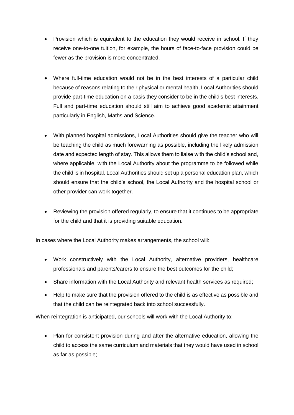- Provision which is equivalent to the education they would receive in school. If they receive one-to-one tuition, for example, the hours of face-to-face provision could be fewer as the provision is more concentrated.
- Where full-time education would not be in the best interests of a particular child because of reasons relating to their physical or mental health, Local Authorities should provide part-time education on a basis they consider to be in the child's best interests. Full and part-time education should still aim to achieve good academic attainment particularly in English, Maths and Science.
- With planned hospital admissions, Local Authorities should give the teacher who will be teaching the child as much forewarning as possible, including the likely admission date and expected length of stay. This allows them to liaise with the child's school and, where applicable, with the Local Authority about the programme to be followed while the child is in hospital. Local Authorities should set up a personal education plan, which should ensure that the child's school, the Local Authority and the hospital school or other provider can work together.
- Reviewing the provision offered regularly, to ensure that it continues to be appropriate for the child and that it is providing suitable education.

In cases where the Local Authority makes arrangements, the school will:

- Work constructively with the Local Authority, alternative providers, healthcare professionals and parents/carers to ensure the best outcomes for the child;
- Share information with the Local Authority and relevant health services as required;
- Help to make sure that the provision offered to the child is as effective as possible and that the child can be reintegrated back into school successfully.

When reintegration is anticipated, our schools will work with the Local Authority to:

 Plan for consistent provision during and after the alternative education, allowing the child to access the same curriculum and materials that they would have used in school as far as possible;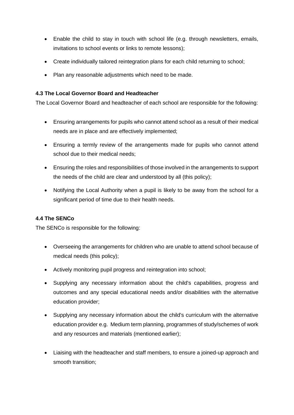- Enable the child to stay in touch with school life (e.g. through newsletters, emails, invitations to school events or links to remote lessons);
- Create individually tailored reintegration plans for each child returning to school;
- Plan any reasonable adjustments which need to be made.

#### **4.3 The Local Governor Board and Headteacher**

The Local Governor Board and headteacher of each school are responsible for the following:

- Ensuring arrangements for pupils who cannot attend school as a result of their medical needs are in place and are effectively implemented;
- Ensuring a termly review of the arrangements made for pupils who cannot attend school due to their medical needs;
- Ensuring the roles and responsibilities of those involved in the arrangements to support the needs of the child are clear and understood by all (this policy);
- Notifying the Local Authority when a pupil is likely to be away from the school for a significant period of time due to their health needs.

#### **4.4 The SENCo**

The SENCo is responsible for the following:

- Overseeing the arrangements for children who are unable to attend school because of medical needs (this policy);
- Actively monitoring pupil progress and reintegration into school;
- Supplying any necessary information about the child's capabilities, progress and outcomes and any special educational needs and/or disabilities with the alternative education provider;
- Supplying any necessary information about the child's curriculum with the alternative education provider e.g. Medium term planning, programmes of study/schemes of work and any resources and materials (mentioned earlier);
- Liaising with the headteacher and staff members, to ensure a joined-up approach and smooth transition;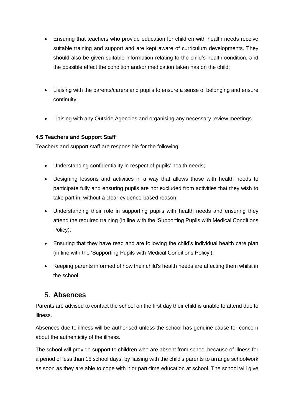- Ensuring that teachers who provide education for children with health needs receive suitable training and support and are kept aware of curriculum developments. They should also be given suitable information relating to the child's health condition, and the possible effect the condition and/or medication taken has on the child;
- Liaising with the parents/carers and pupils to ensure a sense of belonging and ensure continuity;
- Liaising with any Outside Agencies and organising any necessary review meetings.

#### **4.5 Teachers and Support Staff**

Teachers and support staff are responsible for the following:

- Understanding confidentiality in respect of pupils' health needs;
- Designing lessons and activities in a way that allows those with health needs to participate fully and ensuring pupils are not excluded from activities that they wish to take part in, without a clear evidence-based reason;
- Understanding their role in supporting pupils with health needs and ensuring they attend the required training (in line with the 'Supporting Pupils with Medical Conditions Policy);
- Ensuring that they have read and are following the child's individual health care plan (in line with the 'Supporting Pupils with Medical Conditions Policy');
- Keeping parents informed of how their child's health needs are affecting them whilst in the school.

#### 5. **Absences**

Parents are advised to contact the school on the first day their child is unable to attend due to illness.

Absences due to illness will be authorised unless the school has genuine cause for concern about the authenticity of the illness.

The school will provide support to children who are absent from school because of illness for a period of less than 15 school days, by liaising with the child's parents to arrange schoolwork as soon as they are able to cope with it or part-time education at school. The school will give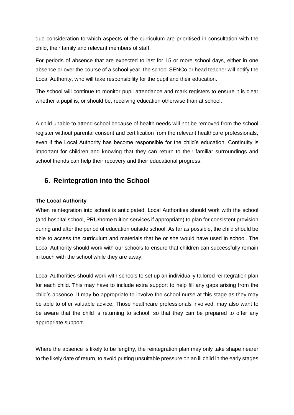due consideration to which aspects of the curriculum are prioritised in consultation with the child, their family and relevant members of staff.

For periods of absence that are expected to last for 15 or more school days, either in one absence or over the course of a school year, the school SENCo or head teacher will notify the Local Authority, who will take responsibility for the pupil and their education.

The school will continue to monitor pupil attendance and mark registers to ensure it is clear whether a pupil is, or should be, receiving education otherwise than at school.

A child unable to attend school because of health needs will not be removed from the school register without parental consent and certification from the relevant healthcare professionals, even if the Local Authority has become responsible for the child's education. Continuity is important for children and knowing that they can return to their familiar surroundings and school friends can help their recovery and their educational progress.

## **6. Reintegration into the School**

#### **The Local Authority**

When reintegration into school is anticipated, Local Authorities should work with the school (and hospital school, PRU/home tuition services if appropriate) to plan for consistent provision during and after the period of education outside school. As far as possible, the child should be able to access the curriculum and materials that he or she would have used in school. The Local Authority should work with our schools to ensure that children can successfully remain in touch with the school while they are away.

Local Authorities should work with schools to set up an individually tailored reintegration plan for each child. This may have to include extra support to help fill any gaps arising from the child's absence. It may be appropriate to involve the school nurse at this stage as they may be able to offer valuable advice. Those healthcare professionals involved, may also want to be aware that the child is returning to school, so that they can be prepared to offer any appropriate support.

Where the absence is likely to be lengthy, the reintegration plan may only take shape nearer to the likely date of return, to avoid putting unsuitable pressure on an ill child in the early stages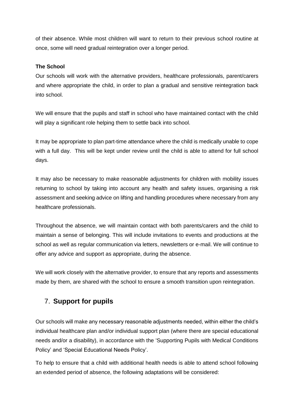of their absence. While most children will want to return to their previous school routine at once, some will need gradual reintegration over a longer period.

#### **The School**

Our schools will work with the alternative providers, healthcare professionals, parent/carers and where appropriate the child, in order to plan a gradual and sensitive reintegration back into school.

We will ensure that the pupils and staff in school who have maintained contact with the child will play a significant role helping them to settle back into school.

It may be appropriate to plan part-time attendance where the child is medically unable to cope with a full day. This will be kept under review until the child is able to attend for full school days.

It may also be necessary to make reasonable adjustments for children with mobility issues returning to school by taking into account any health and safety issues, organising a risk assessment and seeking advice on lifting and handling procedures where necessary from any healthcare professionals.

Throughout the absence, we will maintain contact with both parents/carers and the child to maintain a sense of belonging. This will include invitations to events and productions at the school as well as regular communication via letters, newsletters or e-mail. We will continue to offer any advice and support as appropriate, during the absence.

We will work closely with the alternative provider, to ensure that any reports and assessments made by them, are shared with the school to ensure a smooth transition upon reintegration.

## 7. **Support for pupils**

Our schools will make any necessary reasonable adjustments needed, within either the child's individual healthcare plan and/or individual support plan (where there are special educational needs and/or a disability), in accordance with the 'Supporting Pupils with Medical Conditions Policy' and 'Special Educational Needs Policy'.

To help to ensure that a child with additional health needs is able to attend school following an extended period of absence, the following adaptations will be considered: